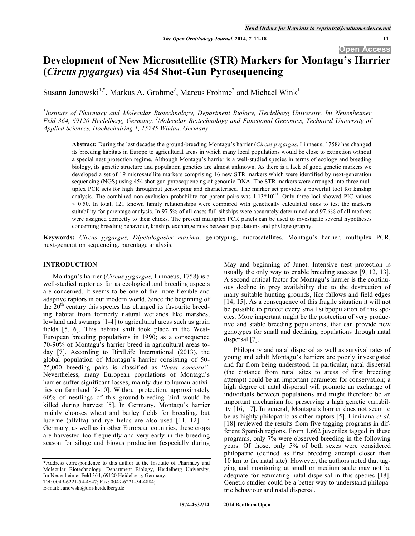**Open Access** 

# **Development of New Microsatellite (STR) Markers for Montagu's Harrier (***Circus pygargus***) via 454 Shot-Gun Pyrosequencing**

Susann Janowski<sup>1,\*</sup>, Markus A. Grohme<sup>2</sup>, Marcus Frohme<sup>2</sup> and Michael Wink<sup>1</sup>

<sup>1</sup> Institute of Pharmacy and Molecular Biotechnology, Department Biology, Heidelberg University, Im Neuenheimer *Feld 364, 69120 Heidelberg, Germany; 2Molecular Biotechnology and Functional Genomics, Technical University of Applied Sciences, Hochschulring 1, 15745 Wildau, Germany* 

**Abstract:** During the last decades the ground-breeding Montagu's harrier (*Circus pygargus*, Linnaeus, 1758*)* has changed its breeding habitats in Europe to agricultural areas in which many local populations would be close to extinction without a special nest protection regime. Although Montagu's harrier is a well-studied species in terms of ecology and breeding biology, its genetic structure and population genetics are almost unknown. As there is a lack of good genetic markers we developed a set of 19 microsatellite markers comprising 16 new STR markers which were identified by next-generation sequencing (NGS) using 454 shot-gun pyrosequencing of genomic DNA. The STR markers were arranged into three multiplex PCR sets for high throughput genotyping and characterised. The marker set provides a powerful tool for kinship analysis. The combined non-exclusion probability for parent pairs was  $1.13*10^{-11}$ . Only three loci showed PIC values < 0.50. In total, 121 known family relationships were compared with genetically calculated ones to test the markers suitability for parentage analysis. In 97.5% of all cases full-sibships were accurately determined and 97.6% of all mothers were assigned correctly to their chicks. The present multiplex PCR panels can be used to investigate several hypotheses concerning breeding behaviour, kinship, exchange rates between populations and phylogeography.

**Keywords:** *Circus pygargus, Dipetalogaster maxima,* genotyping, microsatellites, Montagu's harrier, multiplex PCR, next-generation sequencing, parentage analysis.

## **INTRODUCTION**

Montagu's harrier (*Circus pygargus,* Linnaeus, 1758) is a well-studied raptor as far as ecological and breeding aspects are concerned. It seems to be one of the more flexible and adaptive raptors in our modern world. Since the beginning of the  $20<sup>th</sup>$  century this species has changed its favourite breeding habitat from formerly natural wetlands like marshes, lowland and swamps [1-4] to agricultural areas such as grain fields [5, 6]. This habitat shift took place in the West-European breeding populations in 1990; as a consequence 70-90% of Montagu's harrier breed in agricultural areas today [7]. According to BirdLife International (2013), the global population of Montagu's harrier consisting of 50- 75,000 breeding pairs is classified as "*least concern"*. Nevertheless, many European populations of Montagu's harrier suffer significant losses, mainly due to human activities on farmland [8-10]. Without protection, approximately 60% of nestlings of this ground-breeding bird would be killed during harvest [5]. In Germany, Montagu's harrier mainly chooses wheat and barley fields for breeding, but lucerne (alfalfa) and rye fields are also used [11, 12]. In Germany, as well as in other European countries, these crops are harvested too frequently and very early in the breeding season for silage and biogas production (especially during

\*Address correspondence to this author at the Institute of Pharmacy and Molecular Biotechnology, Department Biology, Heidelberg University, Im Neuenheimer Feld 364, 69120 Heidelberg, Germany;

Tel: 0049-6221-54-4847; Fax: 0049-6221-54-4884;

E-mail: Janowski@uni-heidelberg.de

May and beginning of June). Intensive nest protection is usually the only way to enable breeding success [9, 12, 13]. A second critical factor for Montagu's harrier is the continuous decline in prey availability due to the destruction of many suitable hunting grounds, like fallows and field edges [14, 15]. As a consequence of this fragile situation it will not be possible to protect every small subpopulation of this species. More important might be the protection of very productive and stable breeding populations, that can provide new genotypes for small and declining populations through natal dispersal [7].

Philopatry and natal dispersal as well as survival rates of young and adult Montagu's harriers are poorly investigated and far from being understood. In particular, natal dispersal (the distance from natal sites to areas of first breeding attempt) could be an important parameter for conservation; a high degree of natal dispersal will promote an exchange of individuals between populations and might therefore be an important mechanism for preserving a high genetic variability [16, 17]. In general, Montagu's harrier does not seem to be as highly philopatric as other raptors [5]. Liminana *et al.* [18] reviewed the results from five tagging programs in different Spanish regions. From 1,662 juveniles tagged in these programs, only 7% were observed breeding in the following years. Of those, only 5% of both sexes were considered philopatric (defined as first breeding attempt closer than 10 km to the natal site). However, the authors noted that tagging and monitoring at small or medium scale may not be adequate for estimating natal dispersal in this species [18]. Genetic studies could be a better way to understand philopatric behaviour and natal dispersal.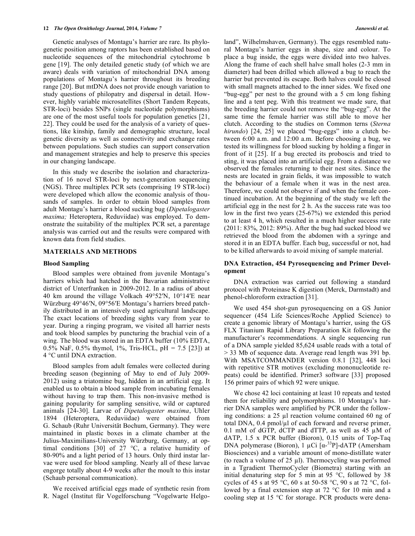Genetic analyses of Montagu's harrier are rare. Its phylogenetic position among raptors has been established based on nucleotide sequences of the mitochondrial cytochrome b gene [19]. The only detailed genetic study (of which we are aware) deals with variation of mitochondrial DNA among populations of Montagu's harrier throughout its breeding range [20]. But mtDNA does not provide enough variation to study questions of philopatry and dispersal in detail. However, highly variable microsatellites (Short Tandem Repeats, STR-loci) besides SNPs (single nucleotide polymorphisms) are one of the most useful tools for population genetics [21, 22]. They could be used for the analysis of a variety of questions, like kinship, family and demographic structure, local genetic diversity as well as connectivity and exchange rates between populations. Such studies can support conservation and management strategies and help to preserve this species in our changing landscape.

In this study we describe the isolation and characterization of 16 novel STR-loci by next-generation sequencing (NGS). Three multiplex PCR sets (comprising 19 STR-loci) were developed which allow the economic analysis of thousands of samples. In order to obtain blood samples from adult Montagu's harrier a blood sucking bug (*Dipetalogaster maxima;* Heteroptera, Reduviidae) was employed. To demonstrate the suitability of the multiplex PCR set, a parentage analysis was carried out and the results were compared with known data from field studies.

#### **MATERIALS AND METHODS**

## **Blood Sampling**

Blood samples were obtained from juvenile Montagu's harriers which had hatched in the Bavarian administrative district of Unterfranken in 2009-2012. In a radius of about 40 km around the village Volkach 49°52N, 10°14E near Würzburg 49°46N, 09°56E Montagu's harriers breed patchily distributed in an intensively used agricultural landscape. The exact locations of breeding sights vary from year to year. During a ringing program, we visited all harrier nests and took blood samples by puncturing the brachial vein of a wing. The blood was stored in an EDTA buffer (10% EDTA, 0.5% NaF, 0.5% thymol, 1%, Tris-HCL, pH = 7.5 [23]) at 4 °C until DNA extraction.

Blood samples from adult females were collected during breeding season (beginning of May to end of July 2009- 2012) using a triatomine bug, hidden in an artificial egg. It enabled us to obtain a blood sample from incubating females without having to trap them. This non-invasive method is gaining popularity for sampling sensitive, wild or captured animals [24-30]. Larvae of *Dipetalogaster maxima*, Uhler 1894 (Heteroptera, Reduviidae) were obtained from G. Schaub (Ruhr Universität Bochum, Germany). They were maintained in plastic boxes in a climate chamber at the Julius-Maximilians-University Würzburg, Germany, at optimal conditions [30] of 27 °C, a relative humidity of 80-90% and a light period of 13 hours. Only third instar larvae were used for blood sampling. Nearly all of these larvae engorge totally about 4-9 weeks after the moult to this instar (Schaub personal communication).

We received artificial eggs made of synthetic resin from R. Nagel (Institut für Vogelforschung "Vogelwarte Helgoland", Wilhelmshaven, Germany). The eggs resembled natural Montagu's harrier eggs in shape, size and colour. To place a bug inside, the eggs were divided into two halves. Along the frame of each shell halve small holes (2-3 mm in diameter) had been drilled which allowed a bug to reach the harrier but prevented its escape. Both halves could be closed with small magnets attached to the inner sides. We fixed one "bug-egg" per nest to the ground with a 5 cm long fishing line and a tent peg. With this treatment we made sure, that the breeding harrier could not remove the "bug-egg". At the same time the female harrier was still able to move her clutch. According to the studies on Common terns (*Sterna hirundo*) [24, 25] we placed "bug-eggs" into a clutch between 6:00 a.m. and 12:00 a.m. Before choosing a bug, we tested its willingness for blood sucking by holding a finger in front of it [25]. If a bug erected its proboscis and tried to sting, it was placed into an artificial egg. From a distance we observed the females returning to their nest sites. Since the nests are located in grain fields, it was impossible to watch the behaviour of a female when it was in the nest area. Therefore, we could not observe if and when the female continued incubation. At the beginning of the study we left the artificial egg in the nest for 2 h. As the success rate was too low in the first two years (25-67%) we extended this period to at least 4 h, which resulted in a much higher success rate (2011: 83%, 2012: 89%). After the bug had sucked blood we retrieved the blood from the abdomen with a syringe and stored it in an EDTA buffer. Each bug, successful or not, had to be killed afterwards to avoid mixing of sample material.

## **DNA Extraction, 454 Pyrosequencing and Primer Development**

DNA extraction was carried out following a standard protocol with Proteinase K digestion (Merck, Darmstadt) and phenol-chloroform extraction [31].

We used 454 shot-gun pyrosequencing on a GS Junior sequencer (454 Life Sciences/Roche Applied Science) to create a genomic library of Montagu's harrier, using the GS FLX Titanium Rapid Library Preparation Kit following the manufacturer's recommendations. A single sequencing run of a DNA sample yielded 85,624 usable reads with a total of > 33 Mb of sequence data. Average read length was 391 bp. With MSATCOMMANDER version 0.8.1 [32], 448 loci with repetitive STR motives (excluding mononucleotide repeats) could be identified. Primer3 software [33] proposed 156 primer pairs of which 92 were unique.

We chose 42 loci containing at least 10 repeats and tested them for reliability and polymorphisms. 10 Montagu's harrier DNA samples were amplified by PCR under the following conditions: a  $25 \mu l$  reaction volume contained 60 ng of total DNA,  $0.4$  pmol/ $\mu$ l of each forward and reverse primer, 0.1 mM of dGTP, dCTP and dTTP, as well as  $45 \mu M$  of dATP, 1.5 x PCR buffer (Bioron), 0.15 units of Top-Taq DNA polymerase (Bioron), 1 µCi  $\lceil \alpha^{-33}P \rceil$ -dATP (Amersham Biosciences) and a variable amount of mono-distillate water (to reach a volume of  $25 \mu$ ). Thermocycling was performed in a Tgradient ThermoCycler (Biometra) starting with an initial denaturing step for 5 min at 95 °C, followed by 38 cycles of 45 s at 95 °C, 60 s at 50-58 °C, 90 s at 72 °C, followed by a final extension step at 72 °C for 10 min and a cooling step at 15 °C for storage. PCR products were dena-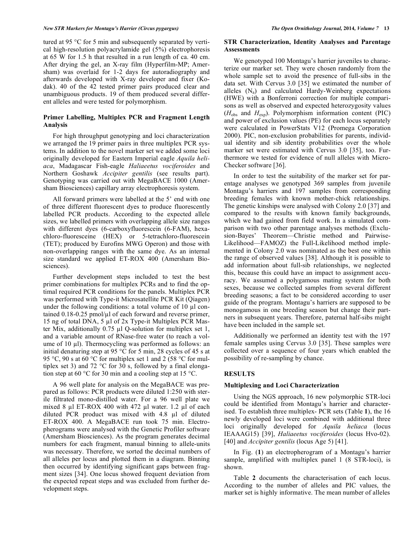#### *New STR Markers for Montagu's Harrier (Circus pygargus) The Open Ornithology Journal,* **2014***, Volume 7* **13**

tured at 95 °C for 5 min and subsequently separated by vertical high-resolution polyacrylamide gel (5%) electrophoresis at 65 W for 1.5 h that resulted in a run length of ca. 40 cm. After drying the gel, an X-ray film (Hyperfilm-MP; Amersham) was overlaid for 1-2 days for autoradiography and afterwards developed with X-ray developer and fixer (Kodak). 40 of the 42 tested primer pairs produced clear and unambiguous products. 19 of them produced several different alleles and were tested for polymorphism.

## **Primer Labelling, Multiplex PCR and Fragment Length Analysis**

For high throughput genotyping and loci characterization we arranged the 19 primer pairs in three multiplex PCR systems. In addition to the novel marker set we added some loci originally developed for Eastern Imperial eagle *Aquila heliaca*, Madagascar Fish-eagle *Haliaeetus vociferoides* and Northern Goshawk *Accipiter gentilis* (see results part). Genotyping was carried out with MegaBACE 1000 (Amersham Biosciences) capillary array electrophoresis system.

All forward primers were labelled at the 5' end with one of three different fluorescent dyes to produce fluorescently labelled PCR products. According to the expected allele sizes, we labelled primers with overlapping allele size ranges with different dyes (6-carboxyfluorescein (6-FAM), hexachloro-fluoresceine (HEX) or 5-tetrachloro-fluorescein (TET); produced by Eurofins MWG Operon) and those with non-overlapping ranges with the same dye. As an internal size standard we applied ET-ROX 400 (Amersham Biosciences).

Further development steps included to test the best primer combinations for multiplex PCRs and to find the optimal required PCR conditions for the panels. Multiplex PCR was performed with Type-it Microsatellite PCR Kit (Qiagen) under the following conditions: a total volume of  $10 \mu l$  contained  $0.18$ -0.25 pmol/ $\mu$ l of each forward and reverse primer, 15 ng of total DNA, 5  $\mu$ l of 2x Type-it Multiplex PCR Master Mix, additionally  $0.75 \mu l$  Q-solution for multiplex set 1, and a variable amount of RNase-free water (to reach a volume of 10  $\mu$ . Thermocycling was performed as follows: an initial denaturing step at 95 °C for 5 min, 28 cycles of 45 s at 95 °C, 90 s at 60 °C for multiplex set 1 and 2 (58 °C for multiplex set 3) and 72  $\degree$ C for 30 s, followed by a final elongation step at 60 °C for 30 min and a cooling step at 15 °C.

A 96 well plate for analysis on the MegaBACE was prepared as follows: PCR products were diluted 1:250 with sterile filtrated mono-distilled water. For a 96 well plate we mixed 8  $\mu$ l ET-ROX 400 with 472  $\mu$ l water. 1.2  $\mu$ l of each diluted PCR product was mixed with 4.8 µl of diluted ET-ROX 400. A MegaBACE run took 75 min. Electropherograms were analysed with the Genetic Profiler software (Amersham Biosciences). As the program generates decimal numbers for each fragment, manual binning to allele-units was necessary. Therefore, we sorted the decimal numbers of all alleles per locus and plotted them in a diagram. Binning then occurred by identifying significant gaps between fragment sizes [34]. One locus showed frequent deviation from the expected repeat steps and was excluded from further development steps.

#### **STR Characterization, Identity Analyses and Parentage Assessments**

We genotyped 100 Montagu's harrier juveniles to characterize our marker set. They were chosen randomly from the whole sample set to avoid the presence of full-sibs in the data set. With Cervus 3.0 [35] we estimated the number of alleles  $(N_a)$  and calculated Hardy-Weinberg expectations (HWE) with a Bonferroni correction for multiple comparisons as well as observed and expected heterozygosity values (*H*obs and *H*exp). Polymorphism information content (PIC) and power of exclusion values (PE) for each locus separately were calculated in PowerStats V12 (Promega Corporation 2000). PIC, non-exclusion probabilities for parents, individual identity and sib identity probabilities over the whole marker set were estimated with Cervus 3.0 [35], too. Furthermore we tested for evidence of null alleles with Micro-Checker software [36].

In order to test the suitability of the marker set for parentage analyses we genotyped 369 samples from juvenile Montagu's harriers and 197 samples from corresponding breeding females with known mother-chick relationships. The genetic kinships were analysed with Colony 2.0 [37] and compared to the results with known family backgrounds, which we had gained from field work. In a simulated comparison with two other parentage analyses methods (Exclusion-Bayes' Theorem—Christie method and Pairwise-Likelihood—FAMOZ) the Full-Likelihood method implemented in Colony 2.0 was nominated as the best one within the range of observed values [38]. Although it is possible to add information about full-sib relationships, we neglected this, because this could have an impact to assignment accuracy. We assumed a polygamous mating system for both sexes, because we collected samples from several different breeding seasons; a fact to be considered according to user guide of the program. Montagu's harriers are supposed to be monogamous in one breeding season but change their partners in subsequent years. Therefore, paternal half-sibs might have been included in the sample set.

Additionally we performed an identity test with the 197 female samples using Cervus 3.0 [35]. These samples were collected over a sequence of four years which enabled the possibility of re-sampling by chance.

#### **RESULTS**

#### **Multiplexing and Loci Characterization**

Using the NGS approach, 16 new polymorphic STR-loci could be identified from Montagu's harrier and characterised. To establish three multiplex- PCR sets (Table **1**), the 16 newly developed loci were combined with additional three loci originally developed for *Aquila heliaca* (locus IEAAAG15) [39], *Haliaeetus vociferoides* (locus Hvo-02). [40] and *Accipiter gentilis* (locus Age 5) [41].

In Fig. (**1**) an electropherogram of a Montagu's harrier sample, amplified with multiplex panel 1 (8 STR-loci), is shown.

Table **2** documents the characterisation of each locus. According to the number of alleles and PIC values, the marker set is highly informative. The mean number of alleles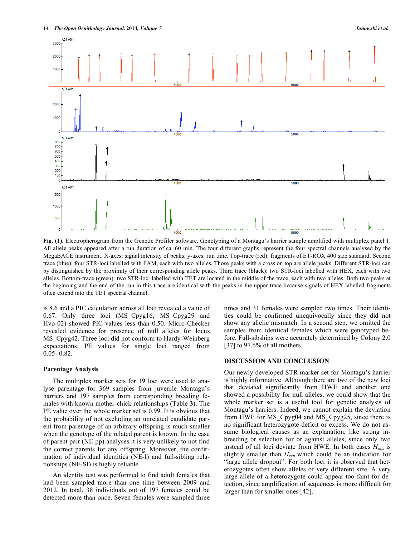

**Fig. (1).** Electropherogram from the Genetic Profiler software. Genotyping of a Montagu's harrier sample amplified with multiplex panel 1. All allele peaks appeared after a run duration of ca. 60 min. The four different graphs represent the four spectral channels analysed by the MegaBACE instrument. X-axes: signal intensity of peaks; y-axes: run time. Top-trace (red): fragments of ET-ROX 400 size standard. Second trace (blue): four STR-loci labelled with FAM, each with two alleles. Those peaks with a cross on top are allele peaks. Different STR-loci can by distinguished by the proximity of their corresponding allele peaks. Third trace (black): two STR-loci labelled with HEX, each with two alleles. Bottom-trace (green): two STR-loci labelled with TET are located in the middle of the trace, each with two alleles. Both two peaks at the beginning and the end of the run in this trace are identical with the peaks in the upper trace because signals of HEX labelled fragments often extend into the TET spectral channel.

is 8.6 and a PIC calculation across all loci revealed a value of 0.67. Only three loci (MS\_Cpyg16, MS\_Cpyg29 and Hvo-02) showed PIC values less than 0.50. Micro-Checker revealed evidence for presence of null alleles for locus MS Cpyg42. Three loci did not conform to Hardy-Weinberg expectations. PE values for single loci ranged from 0.05- 0.82.

#### **Parentage Analysis**

The multiplex marker sets for 19 loci were used to analyse parentage for 369 samples from juvenile Montagu's harriers and 197 samples from corresponding breeding females with known mother-chick relationships (Table **3**). The PE value over the whole marker set is 0.99. It is obvious that the probability of not excluding an unrelated candidate parent from parentage of an arbitrary offspring is much smaller when the genotype of the related parent is known. In the case of parent pair (NE-pp) analyses it is very unlikely to not find the correct parents for any offspring. Moreover, the confirmation of individual identities (NE-I) and full-sibling relationships (NE-SI) is highly reliable.

An identity test was performed to find adult females that had been sampled more than one time between 2009 and 2012. In total, 38 individuals out of 197 females could be detected more than once. Seven females were sampled three times and 31 females were sampled two times. Their identities could be confirmed unequivocally since they did not show any allelic mismatch. In a second step, we omitted the samples from identical females which were genotyped before. Full-sibships were accurately determined by Colony 2.0 [37] to 97.6% of all mothers.

#### **DISCUSSION AND CONCLUSION**

Our newly developed STR marker set for Montagu's harrier is highly informative. Although there are two of the new loci that deviated significantly from HWE and another one showed a possibility for null alleles, we could show that the whole marker set is a useful tool for genetic analysis of Montagu's harriers. Indeed, we cannot explain the deviation from HWE for MS\_Cpyg04 and MS\_Cpyg25, since there is no significant heterozygote deficit or excess. We do not assume biological causes as an explanation, like strong inbreeding or selection for or against alleles, since only two instead of all loci deviate from HWE. In both cases *Hobs* is slightly smaller than *Hexp* which could be an indication for "large allele dropout". For both loci it is observed that heterozygotes often show alleles of very different size. A very large allele of a heterozygote could appear too faint for detection, since amplification of sequences is more difficult for larger than for smaller ones [42].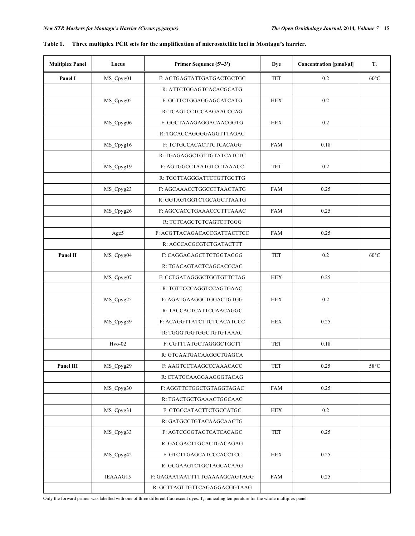| <b>Multiplex Panel</b> | Locus     | Primer Sequence (5'-3')       | <b>Dye</b> | Concentration [pmol/µl] | $T_a$                  |
|------------------------|-----------|-------------------------------|------------|-------------------------|------------------------|
| Panel I                | MS_Cpyg01 | F: ACTGAGTATTGATGACTGCTGC     | <b>TET</b> | 0.2                     | $60^{\circ}$ C         |
|                        |           | R: ATTCTGGAGTCACACGCATG       |            |                         |                        |
|                        | MS_Cpyg05 | F: GCTTCTGGAGGAGCATCATG       | <b>HEX</b> | 0.2                     |                        |
|                        |           | R: TCAGTCCTCCAAGAACCCAG       |            |                         |                        |
|                        | MS_Cpyg06 | F: GGCTAAAGAGGACAACGGTG       | <b>HEX</b> | 0.2                     |                        |
|                        |           | R: TGCACCAGGGGAGGTTTAGAC      |            |                         |                        |
|                        | MS_Cpyg16 | F: TCTGCCACACTTCTCACAGG       | <b>FAM</b> | 0.18                    |                        |
|                        |           | R: TGAGAGGCTGTTGTATCATCTC     |            |                         |                        |
|                        | MS_Cpyg19 | F: AGTGGCCTAATGTCCTAAACC      | <b>TET</b> | 0.2                     |                        |
|                        |           | R: TGGTTAGGGATTCTGTTGCTTG     |            |                         |                        |
|                        | MS_Cpyg23 | F: AGCAAACCTGGCCTTAACTATG     | <b>FAM</b> | 0.25                    |                        |
|                        |           | R: GGTAGTGGTCTGCAGCTTAATG     |            |                         |                        |
|                        | MS_Cpyg26 | F: AGCCACCTGAAACCCTTTAAAC     | <b>FAM</b> | 0.25                    |                        |
|                        |           | R: TCTCAGCTCTCAGTCTTGGG       |            |                         |                        |
|                        | Age5      | F: ACGTTACAGACACCGATTACTTCC   | <b>FAM</b> | 0.25                    |                        |
|                        |           | R: AGCCACGCGTCTGATACTTT       |            |                         |                        |
| Panel II               | MS_Cpyg04 | F: CAGGAGAGCTTCTGGTAGGG       | <b>TET</b> | 0.2                     | $60^{\circ}$ C         |
|                        |           | R: TGACAGTACTCAGCACCCAC       |            |                         |                        |
|                        | MS_Cpyg07 | F: CCTGATAGGGCTGGTGTTCTAG     | <b>HEX</b> | 0.25                    |                        |
|                        |           | R: TGTTCCCAGGTCCAGTGAAC       |            |                         |                        |
|                        | MS_Cpyg25 | F: AGATGAAGGCTGGACTGTGG       | <b>HEX</b> | 0.2                     |                        |
|                        |           | R: TACCACTCATTCCAACAGGC       |            |                         |                        |
|                        | MS_Cpyg39 | F: ACAGGTTATCTTCTCACATCCC     | <b>HEX</b> | 0.25                    |                        |
|                        |           | R: TGGGTGGTGGCTGTGTAAAC       |            |                         |                        |
|                        | Hvo-02    | F: CGTTTATGCTAGGGCTGCTT       | <b>TET</b> | 0.18                    |                        |
|                        |           | R: GTCAATGACAAGGCTGAGCA       |            |                         |                        |
| Panel III              | MS_Cpyg29 | F: AAGTCCTAAGCCCAAACACC       | <b>TET</b> | 0.25                    | $58^{\circ}\textrm{C}$ |
|                        |           | R: CTATGCAAGGAAGGGTACAG       |            |                         |                        |
|                        | MS_Cpyg30 | F: AGGTTCTGGCTGTAGGTAGAC      | <b>FAM</b> | 0.25                    |                        |
|                        |           | R: TGACTGCTGAAACTGGCAAC       |            |                         |                        |
|                        | MS_Cpyg31 | F: CTGCCATACTTCTGCCATGC       | <b>HEX</b> | $0.2\,$                 |                        |
|                        |           | R: GATGCCTGTACAAGCAACTG       |            |                         |                        |
|                        | MS_Cpyg33 | F: AGTCGGGTACTCATCACAGC       | <b>TET</b> | 0.25                    |                        |
|                        |           | R: GACGACTTGCACTGACAGAG       |            |                         |                        |
|                        | MS_Cpyg42 | F: GTCTTGAGCATCCCACCTCC       | <b>HEX</b> | 0.25                    |                        |
|                        |           | R: GCGAAGTCTGCTAGCACAAG       |            |                         |                        |
|                        | IEAAAG15  | F: GAGAATAATTTTTGAAAAGCAGTAGG | <b>FAM</b> | 0.25                    |                        |
|                        |           | R: GCTTAGTTGTTCAGAGGACGGTAAG  |            |                         |                        |

# **Table 1. Three multiplex PCR sets for the amplification of microsatellite loci in Montagu's harrier.**

Only the forward primer was labelled with one of three different fluorescent dyes. T*a*: annealing temperature for the whole multiplex panel.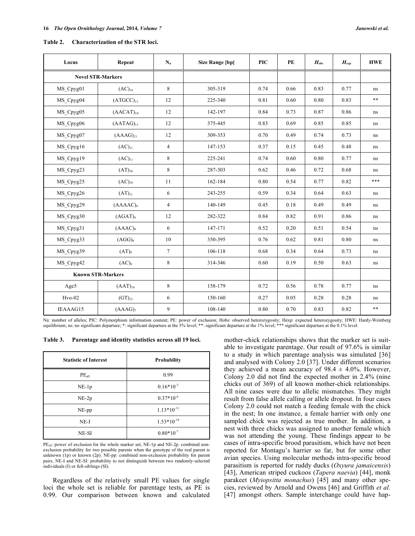| Locus     | Repeat                   | $N_a$          | <b>Size Range [bp]</b> | <b>PIC</b> | PE   | $H_{obs}$ | $H_{exp}$ | <b>HWE</b> |
|-----------|--------------------------|----------------|------------------------|------------|------|-----------|-----------|------------|
|           | <b>Novel STR-Markers</b> |                |                        |            |      |           |           |            |
| MS Cpyg01 | $(AC)_{14}$              | 8              | 305-319                | 0.74       | 0.66 | 0.83      | 0.77      | ns         |
| MS_Cpyg04 | $(ATGCC)_{11}$           | 12             | 225-340                | 0.81       | 0.60 | 0.80      | 0.83      | $***$      |
| MS_Cpyg05 | $(AACAT)_{10}$           | 12             | 142-197                | 0.84       | 0.73 | 0.87      | 0.86      | ns         |
| MS_Cpyg06 | $(AATAG)_{11}$           | 12             | 375-445                | 0.83       | 0.69 | 0.85      | 0.85      | ns         |
| MS Cpyg07 | $(AAAG)_{13}$            | 12             | 309-353                | 0.70       | 0.49 | 0.74      | 0.73      | ns         |
| MS_Cpyg16 | $(AC)_{11}$              | $\overline{4}$ | 147-153                | 0.37       | 0.15 | 0.45      | 0.48      | ns         |
| MS Cpyg19 | $(AC)_{11}$              | 8              | 225-241                | 0.74       | 0.60 | 0.80      | 0.77      | ns         |
| MS_Cpyg23 | $(AT)_{10}$              | 8              | 287-303                | 0.62       | 0.46 | 0.72      | 0.68      | ns         |
| MS Cpyg25 | $(AC)_{10}$              | 11             | 162-184                | 0.80       | 0.54 | 0.77      | 0.82      | ***        |
| MS_Cpyg26 | $(AT)_{11}$              | 6              | 243-255                | 0.59       | 0.34 | 0.64      | 0.63      | ns         |
| MS_Cpyg29 | $(AAAAC)_{9}$            | $\overline{4}$ | 140-149                | 0.45       | 0.18 | 0.49      | 0.49      | ns         |
| MS_Cpyg30 | (AGAT) <sub>9</sub>      | 12             | 282-322                | 0.84       | 0.82 | 0.91      | 0.86      | ns         |
| MS Cpyg31 | (AAAC) <sub>8</sub>      | 6              | 147-171                | 0.52       | 0.20 | 0.51      | 0.54      | ns         |
| MS_Cpyg33 | $(AGG)_{9}$              | 10             | 350-395                | 0.76       | 0.62 | 0.81      | 0.80      | ns         |
| MS Cpyg39 | $(AT)_{8}$               | $\tau$         | 106-118                | 0.68       | 0.34 | 0.64      | 0.73      | ns         |
| MS_Cpyg42 | $(AC)_{8}$               | 8              | 314-346                | 0.60       | 0.19 | 0.50      | 0.63      | ns         |
|           | <b>Known STR-Markers</b> |                |                        |            |      |           |           |            |
| Age5      | $(AAT)_{10}$             | 8              | 158-179                | 0.72       | 0.56 | 0.78      | 0.77      | ns         |
| $Hvo-02$  | $(GT)_{12}$              | 6              | 150-160                | 0.27       | 0.05 | 0.28      | 0.28      | ns         |
| IEAAAG15  | (AAAG) <sub>7</sub>      | 9              | 108-140                | 0.80       | 0.70 | 0.83      | 0.82      | $***$      |

| Table 2. | Characterization of the STR loci. |  |  |
|----------|-----------------------------------|--|--|
|----------|-----------------------------------|--|--|

Na: number of alleles; PIC: Polymorphism information content; PE: power of exclusion; Hobs: observed heterozygosity; Hexp: expected heterozygosity; HWE: Hardy-Weinberg equilibrium; ns: no significant departure; \*: significant departure at the 5% level; \*\*: significant departure at the 1% level; \*\*\* significant departure at the 0.1% level.

**Table 3. Parentage and identity statistics across all 19 loci.** 

| <b>Statistic of Interest</b> | Probability     |
|------------------------------|-----------------|
| PE <sub>all</sub>            | 0.99            |
| $NE-1p$                      | $0.16*10^{-3}$  |
| $NE-2p$                      | $0.37*10^{-6}$  |
| $NE$ -pp                     | $1.13*10^{-11}$ |
| $NE-I$                       | $1.53*10^{-19}$ |
| NE-SI                        | $0.80*10^{-7}$  |

PE<sub>all</sub>: power of exclusion for the whole marker set; NE-1p and NE-2p: combined nonexclusion probability for two possible parents when the genotype of the real parent is unknown (1p) or known (2p). NE-pp: combined non-exclusion probability for parent pairs. NE-I and NE-SI: probability to not distinguish between two randomly-selected individuals (I) or full-siblings (SI).

Regardless of the relatively small PE values for single loci the whole set is reliable for parentage tests, as PE is 0.99. Our comparison between known and calculated

mother-chick relationships shows that the marker set is suitable to investigate parentage. Our result of 97.6% is similar to a study in which parentage analysis was simulated [36] and analysed with Colony 2.0 [37]. Under different scenarios they achieved a mean accuracy of  $98.4 \pm 4.0\%$ . However, Colony 2.0 did not find the expected mother in 2.4% (nine chicks out of 369) of all known mother-chick relationships. All nine cases were due to allelic mismatches. They might result from false allele calling or allele dropout. In four cases Colony 2.0 could not match a feeding female with the chick in the nest; In one instance, a female harrier with only one sampled chick was rejected as true mother. In addition, a nest with three chicks was assigned to another female which was not attending the young. These findings appear to be cases of intra-specific brood parasitism, which have not been reported for Montagu's harrier so far, but for some other avian species. Using molecular methods intra-specific brood parasitism is reported for ruddy ducks (*Oxyura jamaicensis*) [43], American striped cuckoos (*Tapera naevia*) [44], monk parakeet (*Myiopsitta monachus*) [45] and many other species, reviewed by Arnold and Owens [46] and Griffith *et al.* [47] amongst others. Sample interchange could have hap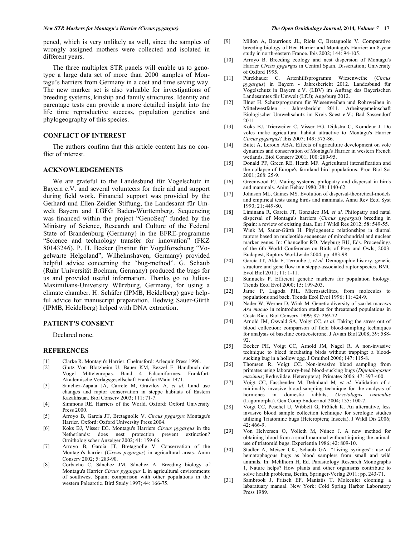pened, which is very unlikely as well, since the samples of wrongly assigned mothers were collected and isolated in different years.

The three multiplex STR panels will enable us to genotype a large data set of more than 2000 samples of Montagu's harriers from Germany in a cost and time saving way. The new marker set is also valuable for investigations of breeding systems, kinship and family structures. Identity and parentage tests can provide a more detailed insight into the life time reproductive success, population genetics and phylogeography of this species.

#### **CONFLICT OF INTEREST**

The authors confirm that this article content has no conflict of interest.

#### **ACKNOWLEDGEMENTS**

We are grateful to the Landesbund für Vogelschutz in Bayern e.V. and several volunteers for their aid and support during field work. Financial support was provided by the Gerhard und Ellen-Zeidler Stiftung, the Landesamt für Umwelt Bayern and LGFG Baden-Württemberg. Sequencing was financed within the project "GenoSeq" funded by the Ministry of Science, Research and Culture of the Federal State of Brandenburg (Germany) in the EFRE-programme "Science and technology transfer for innovation" (FKZ 80143246). P. H. Becker (Institut für Vogelforschung "Vogelwarte Helgoland", Wilhelmshaven, Germany) provided helpful advice concerning the "bug-method". G. Schaub (Ruhr Universität Bochum, Germany) produced the bugs for us and provided useful information. Thanks go to Julius-Maximilians-University Würzburg, Germany, for using a climate chamber. H. Schäfer (IPMB, Heidelberg) gave helpful advice for manuscript preparation. Hedwig Sauer-Gürth (IPMB, Heidelberg) helped with DNA extraction.

# **PATIENT'S CONSENT**

Declared none.

#### **REFERENCES**

- [1] Clarke R. Montagu's Harrier. Chelmsford: Arlequin Press 1996.
- [2] Glutz Von Blotzheim U, Bauer KM, Bezzel E. Handbuch der Vögel Mitteleuropas. Band 4 Falconiformes. Frankfurt: Akademische Verlagsgesellschaft Frankfurt/Main 1971.
- [3] Sanchez-Zapata JA, Carrete M, Gravilov A*, et al.* Land use changes and raptor conservation in steppe habitats of Eastern Kazakhstan. Biol Conserv 2003; 111: 71-7.
- [4] Simmons RE. Harriers of the World. Oxford: Oxford University Press 2000.
- [5] Arroyo B, García JT, Bretagnolle V. *Circus pygargus* Montagu's Harrier. Oxford: Oxford University Press 2004.
- [6] Koks BJ, Visser EG. Montagu's Harriers *Circus pygargus* in the Netherlands: does nest protection prevent extinction? Ornithologischer Anzeiger 2002; 41: 159-66.
- [7] Arroyo B, García JT, Bretagnolle V. Conservation of the Montagu's harrier (*Circus pygargus*) in agricultural areas. Anim Conserv 2002; 5: 283-90.
- [8] Corbacho C, Sánchez JM, Sánchez A. Breeding biology of Montagu's Harrier *Circus pygargus* L in agricultural environments of southwest Spain; comparison with other populations in the western Palearctic. Bird Study 1997; 44: 166-75.
- [9] Millon A, Bourrioux JL, Riols C, Bretagnolle V. Comparative breeding biology of Hen Harrier and Montagu's Harrier: an 8-year study in north-eastern France. Ibis 2002; 144: 94-105.
- [10] Arroyo B. Breeding ecology and nest dispersion of Montagu's Harrier *Circus pygargus* in Central Spain. Dissertation; University of Oxford 1995.
- [11] Pürckhauer C. Artenhilfsprogramm Wiesenweihe (*Circus pygargus*) in Bayern - Jahresbericht 2012. Landesbund für Vogelschutz in Bayern e.V. (LBV) im Auftrag des Bayerischen Landesamtes für Umwelt (LfU); Augsburg 2012.
- [12] Illner H. Schutzprogramm für Wiesenweihen und Rohrweihen in Mittelwestfalen - Jahresbericht 2011. Arbeitsgemeinschaft Biologischer Umweltschutz im Kreis Soest e.V.; Bad Sassendorf 2011.
- [13] Koks BJ, Trierweiler C, Visser EG, Dijkstra C, Komdeur J. Do voles make agricultural habitat attractive to Montagu's Harrier *Circus pygargus*? Ibis 2007; 149: 575-86.
- [14] Butet A, Leroux ABA. Effects of agriculture development on vole dynamics and conservation of Montagu's Harrier in western French wetlands. Biol Conserv 2001; 100: 289-95.
- [15] Donald PF, Green RE, Heath MF. Agricultural intensification and the collapse of Europe's farmland bird populations. Proc Biol Sci 2001; 268: 25-9.
- [16] Greenwood PJ. Mating systems, philopatry and dispersal in birds and mammals. Anim Behav 1980; 28: 1140-62.
- [17] Johnson ML, Gaines MS. Evolution of dispersal-theoretical-models and empirical tests using birds and mammals. Annu Rev Ecol Syst 1990; 21: 449-80.
- [18] Liminana R, Garcia JT, Gonzalez JM*, et al.* Philopatry and natal dispersal of Montagu's harriers (*Circus pygargus*) breeding in Spain: a review of existing data. Eur J Wildl Res 2012; 58: 549-55.
- [19] Wink M, Sauer-Gürth H. Phylogenetic relationships in diurnal raptors based on nucleotide sequences of mitochondrial and nuclear marker genes. In: Chancellor RD, Meyburg BU, Eds. Proceedings of the 6th World Conference on Birds of Prey and Owls; 2003: Budapest, Raptors Worldwide 2004, pp. 483-98.
- [20] García JT, Alda F, Terraube J*, et al.* Demographic history, genetic structure and gene flow in a steppe-associated raptor species. BMC Evol Biol 2011; 11: 1-11.
- [21] Sunnucks P. Efficient genetic markers for population biology. Trends Ecol Evol 2000; 15: 199-203.
- [22] Jarne P, Lagoda PJL. Microsatellites, from molecules to populations and back. Trends Ecol Evol 1996; 11: 424-9.
- [23] Nader W, Werner D, Wink M. Genetic diversity of scarlet macaws *Ara macao* in reintroduction studies for threatened populations in Costa Rica. Biol Conserv 1999; 87: 269-72.
- [24] Arnold JM, Oswald SA, Voigt CC, et al. Taking the stress out of blood collection: comparison of field blood-sampling techniques for analysis of baseline corticosterone. J Avian Biol 2008; 39: 588- 92.
- [25] Becker PH, Voigt CC, Arnold JM, Nagel R. A non-invasive technique to bleed incubating birds without trapping: a bloodsucking bug in a hollow egg. J Ornithol 2006; 147: 115-8.
- [26] Thomsen R, Voigt CC. Non-invasive blood sampling from primates using laboratory-bred blood-sucking bugs (*Dipetalogaster maximus*; Reduviidae, Heteroptera). Primates 2006; 47: 397-400.
- [27] Voigt CC, Fassbender M, Dehnhard M*, et al.* Validation of a minimally invasive blood-sampling technique for the analysis of hormones in domestic rabbits, *Oryctolagus cuniculus* (Lagomorpha). Gen Comp Endocrinol 2004; 135: 100-7.
- [28] Voigt CC, Peschel U, Wibbelt G, Frölich K. An alternative, less invasive blood sample collection technique for serologic studies utilizing Triatomine bugs (Heteroptera; Insecta). J Wildl Dis 2006; 42: 466-9.
- [29] Von Helversen O, Volleth M, Núnez J. A new method for obtaining blood from a small mammal without injuring the animal: use of triatomid bugs. Experientia 1986; 42: 809-10.
- [30] Stadler A, Meiser CK, Schaub GA. "Living syringes": use of hematophagous bugs as blood samplers from small and wild animals. In: Mehlhorn H, Ed. Parasitology Research Monographs 1, Nature helps? How plants and other organisms contribute to solve health problems, Berlin, Springer-Verlag 2011; pp. 243-71.
- [31] Sambrook J, Fritsch EF, Maniatis T. Moleculer clooning: a labaratuary manual. New York: Cold Spring Harbor Laboratory Press 1989.